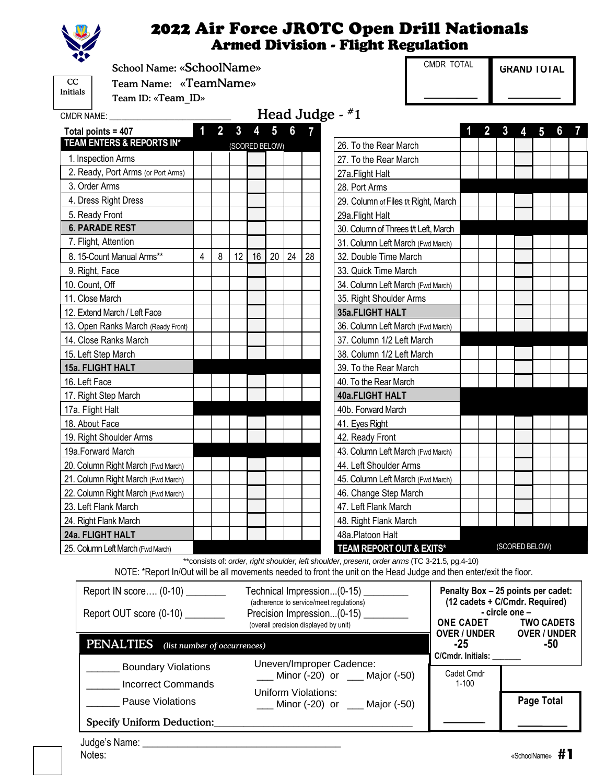

#### 2022 Air Force JROTC Open Drill Nationals Armed Division - Flight Regulation

School Name: «SchoolName»

**CC** Initials

CMDR NAME:

 Team Name: «TeamName» Team ID: «Team\_ID»

 $MEE$ :  $\qquad \qquad \qquad$  Head Judge -  $\#1$ 

| Total points = 407                          | 1 | $\overline{2}$ | 3  |                       | 5  | $6\phantom{a}$ | 7  |                                      | 1 | $\overline{2}$ | $\mathbf{3}$ | $\overline{\mathbf{4}}$ | $5\phantom{.0}$ | 6 | 7 |
|---------------------------------------------|---|----------------|----|-----------------------|----|----------------|----|--------------------------------------|---|----------------|--------------|-------------------------|-----------------|---|---|
| TEAM ENTERS & REPORTS IN*<br>(SCORED BELOW) |   |                |    | 26. To the Rear March |    |                |    |                                      |   |                |              |                         |                 |   |   |
| 1. Inspection Arms                          |   |                |    |                       |    |                |    | 27. To the Rear March                |   |                |              |                         |                 |   |   |
| 2. Ready, Port Arms (or Port Arms)          |   |                |    |                       |    |                |    | 27a.Flight Halt                      |   |                |              |                         |                 |   |   |
| 3. Order Arms                               |   |                |    |                       |    |                |    | 28. Port Arms                        |   |                |              |                         |                 |   |   |
| 4. Dress Right Dress                        |   |                |    |                       |    |                |    | 29. Column of Files f/t Right, March |   |                |              |                         |                 |   |   |
| 5. Ready Front                              |   |                |    |                       |    |                |    | 29a. Flight Halt                     |   |                |              |                         |                 |   |   |
| <b>6. PARADE REST</b>                       |   |                |    |                       |    |                |    | 30. Column of Threes t/t Left, March |   |                |              |                         |                 |   |   |
| 7. Flight, Attention                        |   |                |    |                       |    |                |    | 31. Column Left March (Fwd March)    |   |                |              |                         |                 |   |   |
| 8. 15-Count Manual Arms**                   | 4 | 8              | 12 | 16                    | 20 | 24             | 28 | 32. Double Time March                |   |                |              |                         |                 |   |   |
| 9. Right, Face                              |   |                |    |                       |    |                |    | 33. Quick Time March                 |   |                |              |                         |                 |   |   |
| 10. Count, Off                              |   |                |    |                       |    |                |    | 34. Column Left March (Fwd March)    |   |                |              |                         |                 |   |   |
| 11. Close March                             |   |                |    |                       |    |                |    | 35. Right Shoulder Arms              |   |                |              |                         |                 |   |   |
| 12. Extend March / Left Face                |   |                |    |                       |    |                |    | 35a.FLIGHT HALT                      |   |                |              |                         |                 |   |   |
| 13. Open Ranks March (Ready Front)          |   |                |    |                       |    |                |    | 36. Column Left March (Fwd March)    |   |                |              |                         |                 |   |   |
| 14. Close Ranks March                       |   |                |    |                       |    |                |    | 37. Column 1/2 Left March            |   |                |              |                         |                 |   |   |
| 15. Left Step March                         |   |                |    |                       |    |                |    | 38. Column 1/2 Left March            |   |                |              |                         |                 |   |   |
| 15a. FLIGHT HALT                            |   |                |    |                       |    |                |    | 39. To the Rear March                |   |                |              |                         |                 |   |   |
| 16. Left Face                               |   |                |    |                       |    |                |    | 40. To the Rear March                |   |                |              |                         |                 |   |   |
| 17. Right Step March                        |   |                |    |                       |    |                |    | <b>40a.FLIGHT HALT</b>               |   |                |              |                         |                 |   |   |
| 17a. Flight Halt                            |   |                |    |                       |    |                |    | 40b. Forward March                   |   |                |              |                         |                 |   |   |
| 18. About Face                              |   |                |    |                       |    |                |    | 41. Eyes Right                       |   |                |              |                         |                 |   |   |
| 19. Right Shoulder Arms                     |   |                |    |                       |    |                |    | 42. Ready Front                      |   |                |              |                         |                 |   |   |
| 19a.Forward March                           |   |                |    |                       |    |                |    | 43. Column Left March (Fwd March)    |   |                |              |                         |                 |   |   |
| 20. Column Right March (Fwd March)          |   |                |    |                       |    |                |    | 44. Left Shoulder Arms               |   |                |              |                         |                 |   |   |
| 21. Column Right March (Fwd March)          |   |                |    |                       |    |                |    | 45. Column Left March (Fwd March)    |   |                |              |                         |                 |   |   |
| 22. Column Right March (Fwd March)          |   |                |    |                       |    |                |    | 46. Change Step March                |   |                |              |                         |                 |   |   |
| 23. Left Flank March                        |   |                |    |                       |    |                |    | 47. Left Flank March                 |   |                |              |                         |                 |   |   |
| 24. Right Flank March                       |   |                |    |                       |    |                |    | 48. Right Flank March                |   |                |              |                         |                 |   |   |
| 24a. FLIGHT HALT                            |   |                |    |                       |    |                |    | 48a.Platoon Halt                     |   |                |              |                         |                 |   |   |
| 25. Column Left March (Fwd March)           |   |                |    |                       |    |                |    | TEAM REPORT OUT & EXITS*             |   |                |              |                         | (SCORED BELOW)  |   |   |

\*\*consists of: *order*, *right shoulder, left shoulder*, *present*, *order arms* (TC 3-21.5, pg.4-10) NOTE: \*Report In/Out will be all movements needed to front the unit on the Head Judge and then enter/exit the floor.

| Report IN score (0-10) ________<br>Report OUT score (0-10) | Technical Impression(0-15) ________<br>(adherence to service/meet requlations)<br>Precision Impression(0-15)<br>(overall precision displayed by unit) | <b>ONE CADET</b><br><b>OVER / UNDER</b> | Penalty Box - 25 points per cadet:<br>(12 cadets + C/Cmdr. Required)<br>- circle one -<br><b>TWO CADETS</b><br><b>OVER / UNDER</b> |  |  |  |  |  |  |  |
|------------------------------------------------------------|-------------------------------------------------------------------------------------------------------------------------------------------------------|-----------------------------------------|------------------------------------------------------------------------------------------------------------------------------------|--|--|--|--|--|--|--|
| <b>PENALTIES</b>                                           | (list number of occurrences)                                                                                                                          |                                         |                                                                                                                                    |  |  |  |  |  |  |  |
| <b>Boundary Violations</b><br><b>Incorrect Commands</b>    | Uneven/Improper Cadence:<br>$\mu$ Minor (-20) or $\mu$ Major (-50)                                                                                    | Cadet Cmdr<br>$1 - 100$                 |                                                                                                                                    |  |  |  |  |  |  |  |
| Pause Violations<br><b>Specify Uniform Deduction:</b>      | <b>Uniform Violations:</b><br>$\underline{\hspace{1cm}}$ Minor (-20) or $\underline{\hspace{1cm}}$ Major (-50)                                        |                                         | Page Total                                                                                                                         |  |  |  |  |  |  |  |
|                                                            |                                                                                                                                                       |                                         |                                                                                                                                    |  |  |  |  |  |  |  |

| Judge's Name: |  |
|---------------|--|
| Notes:        |  |

CMDR TOTAL

**GRAND TOTAL**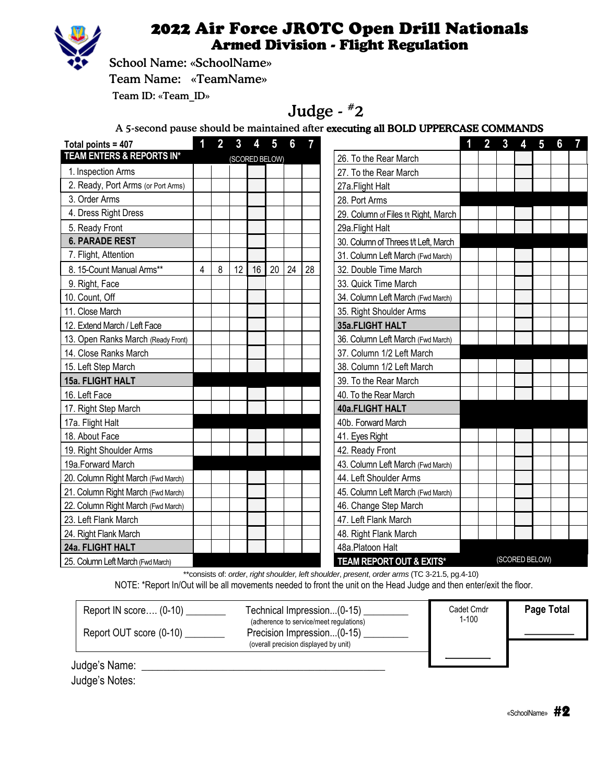

### 2022 Air Force JROTC Open Drill Nationals Armed Division - Flight Regulation

School Name: «SchoolName»

Team Name: «TeamName»

Team ID: «Team\_ID»

# Judge - #2

A 5-second pause should be maintained after executing all BOLD UPPERCASE COMMANDS

| Total points = 407                 | 1 | $\overline{2}$ | 3  | 4  | $5\phantom{.0}$ | $6\phantom{a}$ | 7  |                                      | 1 | 2 <sup>1</sup> | $\mathbf{3}$   | 4 | $5\phantom{.0}$ | $6\phantom{a}$ | $\overline{7}$ |
|------------------------------------|---|----------------|----|----|-----------------|----------------|----|--------------------------------------|---|----------------|----------------|---|-----------------|----------------|----------------|
| TEAM ENTERS & REPORTS IN*          |   |                |    |    | (SCORED BELOW)  |                |    | 26. To the Rear March                |   |                |                |   |                 |                |                |
| 1. Inspection Arms                 |   |                |    |    |                 |                |    | 27. To the Rear March                |   |                |                |   |                 |                |                |
| 2. Ready, Port Arms (or Port Arms) |   |                |    |    |                 |                |    | 27a.Flight Halt                      |   |                |                |   |                 |                |                |
| 3. Order Arms                      |   |                |    |    |                 |                |    | 28. Port Arms                        |   |                |                |   |                 |                |                |
| 4. Dress Right Dress               |   |                |    |    |                 |                |    | 29. Column of Files f/t Right, March |   |                |                |   |                 |                |                |
| 5. Ready Front                     |   |                |    |    |                 |                |    | 29a.Flight Halt                      |   |                |                |   |                 |                |                |
| <b>6. PARADE REST</b>              |   |                |    |    |                 |                |    | 30. Column of Threes t/t Left, March |   |                |                |   |                 |                |                |
| 7. Flight, Attention               |   |                |    |    |                 |                |    | 31. Column Left March (Fwd March)    |   |                |                |   |                 |                |                |
| 8. 15-Count Manual Arms**          | 4 | 8              | 12 | 16 | 20              | 24             | 28 | 32. Double Time March                |   |                |                |   |                 |                |                |
| 9. Right, Face                     |   |                |    |    |                 |                |    | 33. Quick Time March                 |   |                |                |   |                 |                |                |
| 10. Count, Off                     |   |                |    |    |                 |                |    | 34. Column Left March (Fwd March)    |   |                |                |   |                 |                |                |
| 11. Close March                    |   |                |    |    |                 |                |    | 35. Right Shoulder Arms              |   |                |                |   |                 |                |                |
| 12. Extend March / Left Face       |   |                |    |    |                 |                |    | 35a.FLIGHT HALT                      |   |                |                |   |                 |                |                |
| 13. Open Ranks March (Ready Front) |   |                |    |    |                 |                |    | 36. Column Left March (Fwd March)    |   |                |                |   |                 |                |                |
| 14. Close Ranks March              |   |                |    |    |                 |                |    | 37. Column 1/2 Left March            |   |                |                |   |                 |                |                |
| 15. Left Step March                |   |                |    |    |                 |                |    | 38. Column 1/2 Left March            |   |                |                |   |                 |                |                |
| 15a. FLIGHT HALT                   |   |                |    |    |                 |                |    | 39. To the Rear March                |   |                |                |   |                 |                |                |
| 16. Left Face                      |   |                |    |    |                 |                |    | 40. To the Rear March                |   |                |                |   |                 |                |                |
| 17. Right Step March               |   |                |    |    |                 |                |    | <b>40a.FLIGHT HALT</b>               |   |                |                |   |                 |                |                |
| 17a. Flight Halt                   |   |                |    |    |                 |                |    | 40b. Forward March                   |   |                |                |   |                 |                |                |
| 18. About Face                     |   |                |    |    |                 |                |    | 41. Eyes Right                       |   |                |                |   |                 |                |                |
| 19. Right Shoulder Arms            |   |                |    |    |                 |                |    | 42. Ready Front                      |   |                |                |   |                 |                |                |
| 19a.Forward March                  |   |                |    |    |                 |                |    | 43. Column Left March (Fwd March)    |   |                |                |   |                 |                |                |
| 20. Column Right March (Fwd March) |   |                |    |    |                 |                |    | 44. Left Shoulder Arms               |   |                |                |   |                 |                |                |
| 21. Column Right March (Fwd March) |   |                |    |    |                 |                |    | 45. Column Left March (Fwd March)    |   |                |                |   |                 |                |                |
| 22. Column Right March (Fwd March) |   |                |    |    |                 |                |    | 46. Change Step March                |   |                |                |   |                 |                |                |
| 23. Left Flank March               |   |                |    |    |                 |                |    | 47. Left Flank March                 |   |                |                |   |                 |                |                |
| 24. Right Flank March              |   |                |    |    |                 |                |    | 48. Right Flank March                |   |                |                |   |                 |                |                |
| 24a. FLIGHT HALT                   |   |                |    |    |                 |                |    | 48a.Platoon Halt                     |   |                |                |   |                 |                |                |
| 25. Column Left March (Fwd March)  |   |                |    |    |                 |                |    | TEAM REPORT OUT & EXITS*             |   |                | (SCORED BELOW) |   |                 |                |                |

\*\*consists of: *order*, *right shoulder, left shoulder*, *present*, *order arms* (TC 3-21.5, pg.4-10)

NOTE: \*Report In/Out will be all movements needed to front the unit on the Head Judge and then enter/exit the floor.

| Report IN score $(0-10)$<br>Report OUT score (0-10) | Technical Impression(0-15)<br>(adherence to service/meet regulations)<br>Precision Impression(0-15)<br>(overall precision displayed by unit) | Cadet Cmdr<br>$1 - 100$ | Page Total |
|-----------------------------------------------------|----------------------------------------------------------------------------------------------------------------------------------------------|-------------------------|------------|
| Judge's Name:                                       |                                                                                                                                              |                         |            |

Judge's Notes: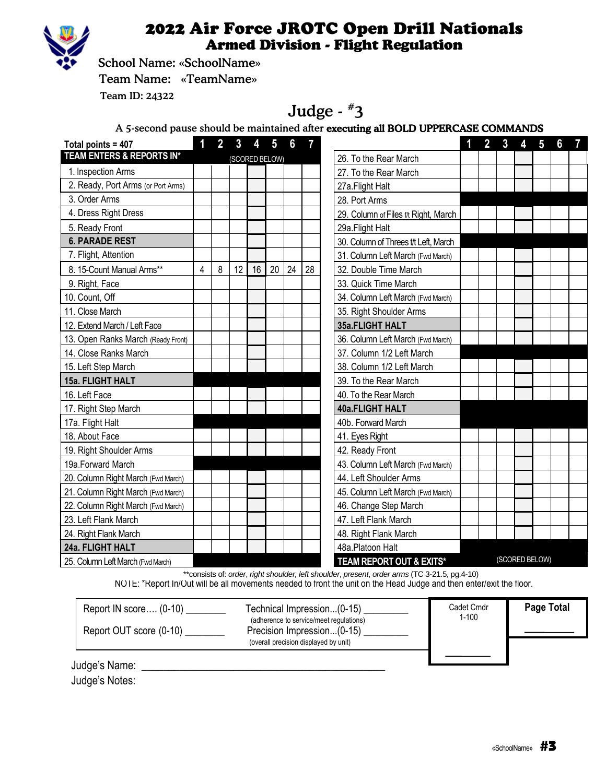

#### 2022 Air Force JROTC Open Drill Nationals Armed Division - Flight Regulation

School Name: «SchoolName»

Team Name: «TeamName»

Team ID: 24322

# Judge - #3

A 5-second pause should be maintained after executing all BOLD UPPERCASE COMMANDS

| Total points = 407                 |   |   | 3  | 4  | $5\phantom{.0}$ | 6  |    |                                      | 1 | $\overline{2}$ | $\mathbf{3}$   | 4 | $\overline{5}$ | 6 | $\overline{7}$ |
|------------------------------------|---|---|----|----|-----------------|----|----|--------------------------------------|---|----------------|----------------|---|----------------|---|----------------|
| TEAM ENTERS & REPORTS IN*          |   |   |    |    | (SCORED BELOW)  |    |    | 26. To the Rear March                |   |                |                |   |                |   |                |
| 1. Inspection Arms                 |   |   |    |    |                 |    |    | 27. To the Rear March                |   |                |                |   |                |   |                |
| 2. Ready, Port Arms (or Port Arms) |   |   |    |    |                 |    |    | 27a.Flight Halt                      |   |                |                |   |                |   |                |
| 3. Order Arms                      |   |   |    |    |                 |    |    | 28. Port Arms                        |   |                |                |   |                |   |                |
| 4. Dress Right Dress               |   |   |    |    |                 |    |    | 29. Column of Files f/t Right, March |   |                |                |   |                |   |                |
| 5. Ready Front                     |   |   |    |    |                 |    |    | 29a. Flight Halt                     |   |                |                |   |                |   |                |
| <b>6. PARADE REST</b>              |   |   |    |    |                 |    |    | 30. Column of Threes t/t Left, March |   |                |                |   |                |   |                |
| 7. Flight, Attention               |   |   |    |    |                 |    |    | 31. Column Left March (Fwd March)    |   |                |                |   |                |   |                |
| 8. 15-Count Manual Arms**          | 4 | 8 | 12 | 16 | 20              | 24 | 28 | 32. Double Time March                |   |                |                |   |                |   |                |
| 9. Right, Face                     |   |   |    |    |                 |    |    | 33. Quick Time March                 |   |                |                |   |                |   |                |
| 10. Count, Off                     |   |   |    |    |                 |    |    | 34. Column Left March (Fwd March)    |   |                |                |   |                |   |                |
| 11. Close March                    |   |   |    |    |                 |    |    | 35. Right Shoulder Arms              |   |                |                |   |                |   |                |
| 12. Extend March / Left Face       |   |   |    |    |                 |    |    | 35a.FLIGHT HALT                      |   |                |                |   |                |   |                |
| 13. Open Ranks March (Ready Front) |   |   |    |    |                 |    |    | 36. Column Left March (Fwd March)    |   |                |                |   |                |   |                |
| 14. Close Ranks March              |   |   |    |    |                 |    |    | 37. Column 1/2 Left March            |   |                |                |   |                |   |                |
| 15. Left Step March                |   |   |    |    |                 |    |    | 38. Column 1/2 Left March            |   |                |                |   |                |   |                |
| 15a. FLIGHT HALT                   |   |   |    |    |                 |    |    | 39. To the Rear March                |   |                |                |   |                |   |                |
| 16. Left Face                      |   |   |    |    |                 |    |    | 40. To the Rear March                |   |                |                |   |                |   |                |
| 17. Right Step March               |   |   |    |    |                 |    |    | <b>40a.FLIGHT HALT</b>               |   |                |                |   |                |   |                |
| 17a. Flight Halt                   |   |   |    |    |                 |    |    | 40b. Forward March                   |   |                |                |   |                |   |                |
| 18. About Face                     |   |   |    |    |                 |    |    | 41. Eyes Right                       |   |                |                |   |                |   |                |
| 19. Right Shoulder Arms            |   |   |    |    |                 |    |    | 42. Ready Front                      |   |                |                |   |                |   |                |
| 19a. Forward March                 |   |   |    |    |                 |    |    | 43. Column Left March (Fwd March)    |   |                |                |   |                |   |                |
| 20. Column Right March (Fwd March) |   |   |    |    |                 |    |    | 44. Left Shoulder Arms               |   |                |                |   |                |   |                |
| 21. Column Right March (Fwd March) |   |   |    |    |                 |    |    | 45. Column Left March (Fwd March)    |   |                |                |   |                |   |                |
| 22. Column Right March (Fwd March) |   |   |    |    |                 |    |    | 46. Change Step March                |   |                |                |   |                |   |                |
| 23. Left Flank March               |   |   |    |    |                 |    |    | 47. Left Flank March                 |   |                |                |   |                |   |                |
| 24. Right Flank March              |   |   |    |    |                 |    |    | 48. Right Flank March                |   |                |                |   |                |   |                |
| 24a. FLIGHT HALT                   |   |   |    |    |                 |    |    | 48a.Platoon Halt                     |   |                |                |   |                |   |                |
| 25. Column Left March (Fwd March)  |   |   |    |    |                 |    |    | TEAM REPORT OUT & EXITS*             |   |                | (SCORED BELOW) |   |                |   |                |

\*\*consists of: *order*, *right shoulder, left shoulder*, *present*, *order arms* (TC 3-21.5, pg.4-10)

NOTE: \*Report In/Out will be all movements needed to front the unit on the Head Judge and then enter/exit the floor.

| Report IN score $(0-10)$<br>Report OUT score (0-10) | Technical Impression(0-15)<br>(adherence to service/meet requlations)<br>Precision Impression(0-15)<br>(overall precision displayed by unit) | Cadet Cmdr<br>$1 - 100$ | Page Total |
|-----------------------------------------------------|----------------------------------------------------------------------------------------------------------------------------------------------|-------------------------|------------|
| Judge's Name:                                       |                                                                                                                                              |                         |            |

Judge's Notes: